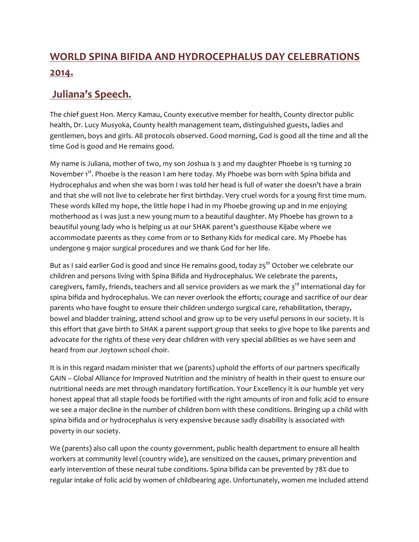## WORLD SPINA BIFIDA AND HYDROCEPHALUS DAY CELEBRATIONS **2014.**

## **Juliana's Speech.**

The chief guest Hon. Mercy Kamau, County executive member for health, County director public health, Dr. Lucy Musyoka, County health management team, distinguished guests, ladies and gentlemen, boys and girls. All protocols observed. Good morning, God is good all the time and all the time God is good and He remains good.

My name is Juliana, mother of two, my son Joshua is  $\frac{1}{3}$  and my daughter Phoebe is 19 turning 20 November 1<sup>st</sup>. Phoebe is the reason I am here today. My Phoebe was born with Spina bifida and Hydrocephalus and when she was born I was told her head is full of water she doesn't have a brain and that she will not live to celebrate her first birthday. Very cruel words for a young first time mum. These words killed my hope, the little hope I had in my Phoebe growing up and in me enjoying motherhood as I was just a new young mum to a beautiful daughter. My Phoebe has grown to a beautiful young lady who is helping us at our SHAK parent's guesthouse Kijabe where we accommodate parents as they come from or to Bethany Kids for medical care. My Phoebe has undergone 9 major surgical procedures and we thank God for her life.

But as I said earlier God is good and since He remains good, today  $25<sup>th</sup>$  October we celebrate our children and persons living with Spina Bifida and Hydrocephalus. We celebrate the parents, caregivers, family, friends, teachers and all service providers as we mark the 3<sup>rd</sup> international day for spina bifida and hydrocephalus. We can never overlook the efforts; courage and sacrifice of our dear parents who have fought to ensure their children undergo surgical care, rehabilitation, therapy, bowel and bladder training, attend school and grow up to be very useful persons in our society. It is this effort that gave birth to SHAK a parent support group that seeks to give hope to like parents and advocate for the rights of these very dear children with very special abilities as we have seen and heard from our Joytown school choir.

It is in this regard madam minister that we (parents) uphold the efforts of our partners specifically GAIN – Global Alliance for Improved Nutrition and the ministry of health in their quest to ensure our nutritional needs are met through mandatory fortification. Your Excellency it is our humble yet very honest appeal that all staple foods be fortified with the right amounts of iron and folic acid to ensure we see a major decline in the number of children born with these conditions. Bringing up a child with spina bifida and or hydrocephalus is very expensive because sadly disability is associated with poverty in our society.

We (parents) also call upon the county government, public health department to ensure all health workers at community level (country wide), are sensitized on the causes, primary prevention and early intervention of these neural tube conditions. Spina bifida can be prevented by 78% due to regular intake of folic acid by women of childbearing age. Unfortunately, women me included attend